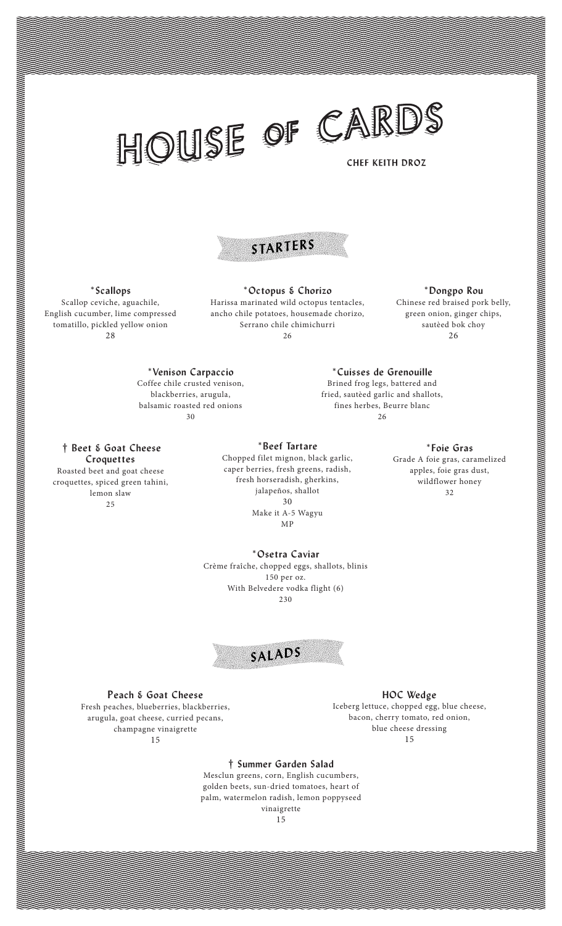## HOUSE OF CARDS

**\*Cuisses de Grenouille** Brined frog legs, battered and fried, sautèed garlic and shallots, fines herbes, Beurre blanc 26



## **\*Scallops**

Scallop ceviche, aguachile, English cucumber, lime compressed tomatillo, pickled yellow onion 28

**\*Octopus & Chorizo** Harissa marinated wild octopus tentacles, ancho chile potatoes, housemade chorizo, Serrano chile chimichurri 26

**\*Dongpo Rou** Chinese red braised pork belly, green onion, ginger chips, sautèed bok choy 26

**\*Venison Carpaccio** Coffee chile crusted venison, blackberries, arugula, balsamic roasted red onions 30

**† Beet & Goat Cheese**

**Croquettes** Roasted beet and goat cheese croquettes, spiced green tahini, lemon slaw 25

**\*Beef Tartare**

Chopped filet mignon, black garlic, caper berries, fresh greens, radish, fresh horseradish, gherkins, jalapeños, shallot 30 Make it A-5 Wagyu MP

**\*Foie Gras**

Grade A foie gras, caramelized apples, foie gras dust, wildflower honey 32

**\*Osetra Caviar**

Crème fraîche, chopped eggs, shallots, blinis 150 per oz. With Belvedere vodka flight (6) 230



**Peach & Goat Cheese**

Fresh peaches, blueberries, blackberries, arugula, goat cheese, curried pecans, champagne vinaigrette 15

**HOC Wedge**

Iceberg lettuce, chopped egg, blue cheese, bacon, cherry tomato, red onion, blue cheese dressing 15

## **† Summer Garden Salad**

Mesclun greens, corn, English cucumbers, golden beets, sun-dried tomatoes, heart of palm, watermelon radish, lemon poppyseed vinaigrette

15